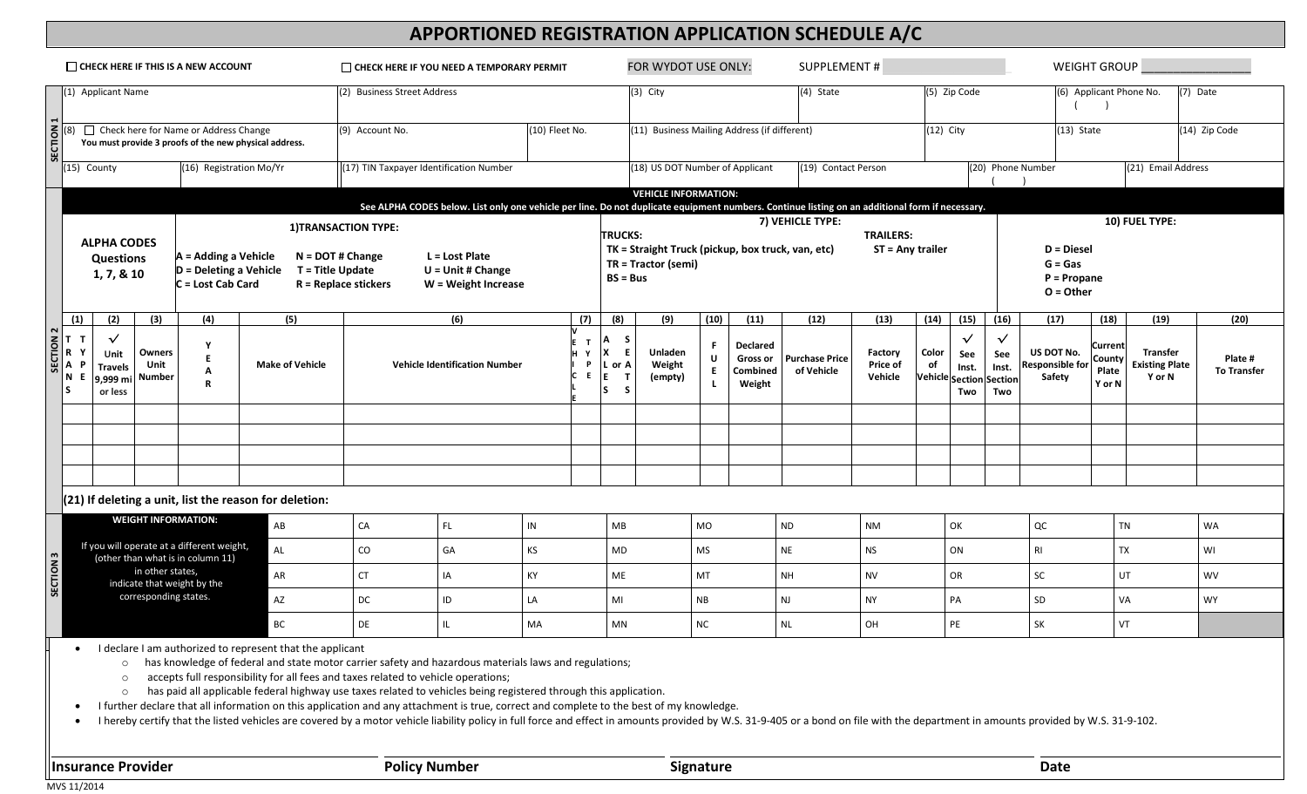# **APPORTIONED REGISTRATION APPLICATION SCHEDULE A/C**

| $\Box$ CHECK HERE IF THIS IS A NEW ACCOUNT |                                                                                                                                                                                                                                                                                                                                                                                                              |                                                               |                          |                                                                         |    |                                                          | CHECK HERE IF YOU NEED A TEMPORARY PERMIT                                                                                          |                |                                                                                                                                                 |                             |                                   |                                              | FOR WYDOT USE ONLY:                                                      |                              |                                                          |                                     |                                         | <b>SUPPLEMENT#</b>          |                                                        |                                                |                                                          | <b>WEIGHT GROUP</b>                         |                                                    |                               |           |
|--------------------------------------------|--------------------------------------------------------------------------------------------------------------------------------------------------------------------------------------------------------------------------------------------------------------------------------------------------------------------------------------------------------------------------------------------------------------|---------------------------------------------------------------|--------------------------|-------------------------------------------------------------------------|----|----------------------------------------------------------|------------------------------------------------------------------------------------------------------------------------------------|----------------|-------------------------------------------------------------------------------------------------------------------------------------------------|-----------------------------|-----------------------------------|----------------------------------------------|--------------------------------------------------------------------------|------------------------------|----------------------------------------------------------|-------------------------------------|-----------------------------------------|-----------------------------|--------------------------------------------------------|------------------------------------------------|----------------------------------------------------------|---------------------------------------------|----------------------------------------------------|-------------------------------|-----------|
| (1) Applicant Name                         |                                                                                                                                                                                                                                                                                                                                                                                                              |                                                               |                          |                                                                         |    |                                                          | (2) Business Street Address                                                                                                        |                |                                                                                                                                                 |                             | $(3)$ City                        |                                              |                                                                          | (4) State                    |                                                          |                                     | (5) Zip Code<br>(6) Applicant Phone No. |                             |                                                        |                                                |                                                          | (7) Date                                    |                                                    |                               |           |
|                                            | (8) Check here for Name or Address Change<br>You must provide 3 proofs of the new physical address.                                                                                                                                                                                                                                                                                                          |                                                               |                          |                                                                         |    | (9) Account No.                                          |                                                                                                                                    |                | (10) Fleet No.                                                                                                                                  |                             |                                   | (11) Business Mailing Address (if different) |                                                                          |                              |                                                          |                                     |                                         | $(12)$ City<br>$(13)$ State |                                                        |                                                | (14) Zip Code                                            |                                             |                                                    |                               |           |
|                                            | (16) Registration Mo/Yr<br>(15) County                                                                                                                                                                                                                                                                                                                                                                       |                                                               |                          |                                                                         |    | (17) TIN Taxpayer Identification Number                  |                                                                                                                                    |                |                                                                                                                                                 |                             |                                   |                                              | (18) US DOT Number of Applicant                                          |                              |                                                          | (19) Contact Person                 |                                         |                             | (20) Phone Number                                      |                                                |                                                          | (21) Email Address                          |                                                    |                               |           |
|                                            |                                                                                                                                                                                                                                                                                                                                                                                                              |                                                               |                          |                                                                         |    |                                                          |                                                                                                                                    |                | See ALPHA CODES below. List only one vehicle per line. Do not duplicate equipment numbers. Continue listing on an additional form if necessary. |                             |                                   |                                              |                                                                          | <b>VEHICLE INFORMATION:</b>  |                                                          |                                     |                                         |                             |                                                        |                                                |                                                          |                                             |                                                    |                               |           |
|                                            |                                                                                                                                                                                                                                                                                                                                                                                                              |                                                               |                          |                                                                         |    |                                                          | 1) TRANSACTION TYPE:<br>$N =$ DOT#Change<br>L = Lost Plate<br>$U = Unit # Change$<br>$R = Replace$ stickers<br>W = Weight Increase |                |                                                                                                                                                 | <b>TRUCKS:</b>              |                                   |                                              |                                                                          |                              |                                                          |                                     | 7) VEHICLE TYPE:<br><b>TRAILERS:</b>    |                             |                                                        |                                                |                                                          | 10) FUEL TYPE:                              |                                                    |                               |           |
|                                            |                                                                                                                                                                                                                                                                                                                                                                                                              | <b>ALPHA CODES</b><br><b>Questions</b><br>1, 7, & 10          |                          | $A =$ Adding a Vehicle<br>$D =$ Deleting a Vehicle<br>C = Lost Cab Card |    | T = Title Update                                         |                                                                                                                                    |                |                                                                                                                                                 |                             |                                   | $BS = Bus$                                   | TK = Straight Truck (pickup, box truck, van, etc)<br>TR = Tractor (semi) |                              |                                                          | ST = Any trailer                    |                                         |                             |                                                        |                                                | $D = Diese$<br>$G = Gas$<br>$P = Propane$<br>$O = Other$ |                                             |                                                    |                               |           |
|                                            | (1)                                                                                                                                                                                                                                                                                                                                                                                                          | (2)                                                           | (3)                      | (4)                                                                     |    | (5)                                                      |                                                                                                                                    |                | (6)                                                                                                                                             |                             | (7)                               | (8)                                          |                                                                          | (9)                          | (10)                                                     | (11)                                | (12)                                    | (13)                        | (14)                                                   | (15)                                           | (16)                                                     | (17)                                        | (18)                                               | (19)                          | (20)      |
| l S                                        | $\begin{array}{c c}\n\text{SECTION 2} \\ \hline\nT & T \\ \hline\nR & T \\ \hline\nT & T \\ \hline\nT & T\n\end{array}$<br>N E                                                                                                                                                                                                                                                                               | $\checkmark$<br>Unit<br><b>Travels</b><br>9,999 mi<br>or less | Owners<br>Unit<br>Number | Y<br>E<br>Α<br>R                                                        |    | <b>Make of Vehicle</b>                                   | <b>Vehicle Identification Number</b>                                                                                               |                |                                                                                                                                                 | $\mathbf{T}$<br>Y<br>P<br>Е | Α<br>X<br>L or A<br>E<br>ា<br>ls. | -S<br>E<br>-S                                | Unladen<br>Weight<br>(empty)                                             | F.<br>U<br>E<br>$\mathbf{L}$ | <b>Declared</b><br><b>Gross or</b><br>Combined<br>Weight | <b>Purchase Price</b><br>of Vehicle | Factory<br>Price of<br>Vehicle          | Color<br>of                 | $\checkmark$<br>See<br>Inst.<br>Vehicle Section<br>Two | $\checkmark$<br>See<br>Inst.<br>Section<br>Two | US DOT No.<br>Responsible for<br>Safety                  | <b>Current</b><br>County<br>Plate<br>Y or N | <b>Transfer</b><br><b>Existing Plate</b><br>Y or N | Plate #<br><b>To Transfer</b> |           |
|                                            |                                                                                                                                                                                                                                                                                                                                                                                                              |                                                               |                          |                                                                         |    |                                                          |                                                                                                                                    |                |                                                                                                                                                 |                             |                                   |                                              |                                                                          |                              |                                                          |                                     |                                         |                             |                                                        |                                                |                                                          |                                             |                                                    |                               |           |
|                                            |                                                                                                                                                                                                                                                                                                                                                                                                              |                                                               |                          |                                                                         |    |                                                          |                                                                                                                                    |                |                                                                                                                                                 |                             |                                   |                                              |                                                                          |                              |                                                          |                                     |                                         |                             |                                                        |                                                |                                                          |                                             |                                                    |                               |           |
|                                            |                                                                                                                                                                                                                                                                                                                                                                                                              |                                                               |                          |                                                                         |    |                                                          |                                                                                                                                    |                |                                                                                                                                                 |                             |                                   |                                              |                                                                          |                              |                                                          |                                     |                                         |                             |                                                        |                                                |                                                          |                                             |                                                    |                               |           |
|                                            |                                                                                                                                                                                                                                                                                                                                                                                                              |                                                               |                          |                                                                         |    | $(21)$ If deleting a unit, list the reason for deletion: |                                                                                                                                    |                |                                                                                                                                                 |                             |                                   |                                              |                                                                          |                              |                                                          |                                     |                                         |                             |                                                        |                                                |                                                          |                                             |                                                    |                               |           |
| <b>WEIGHT INFORMATION:</b>                 |                                                                                                                                                                                                                                                                                                                                                                                                              |                                                               |                          | AB                                                                      |    |                                                          | CA                                                                                                                                 | FL.            |                                                                                                                                                 | IN                          |                                   | MB                                           |                                                                          |                              | MO                                                       |                                     | <b>ND</b>                               | <b>NM</b>                   | OK                                                     |                                                |                                                          | QC                                          |                                                    | <b>TN</b>                     | WA        |
|                                            | If you will operate at a different weight,<br>AL<br>(other than what is in column 11)                                                                                                                                                                                                                                                                                                                        |                                                               |                          |                                                                         |    |                                                          | ${\rm CO}$                                                                                                                         | GA             |                                                                                                                                                 | KS                          |                                   |                                              | MD                                                                       |                              | <b>MS</b>                                                |                                     | $\sf NE$                                | NS                          |                                                        | ON                                             |                                                          | <b>RI</b>                                   |                                                    | <b>TX</b>                     | WI        |
| SECTION <sub>3</sub>                       | in other states,<br>AR<br>indicate that weight by the                                                                                                                                                                                                                                                                                                                                                        |                                                               |                          |                                                                         |    |                                                          | <b>CT</b>                                                                                                                          | IA<br>KY       |                                                                                                                                                 |                             |                                   |                                              | ME                                                                       |                              | <b>MT</b>                                                |                                     | <b>NH</b><br><b>NV</b>                  |                             |                                                        | OR                                             |                                                          | SC                                          |                                                    | UT                            | WV        |
| corresponding states.                      |                                                                                                                                                                                                                                                                                                                                                                                                              |                                                               |                          | AZ                                                                      |    |                                                          | DC                                                                                                                                 |                | ID                                                                                                                                              | LA                          |                                   | MI                                           |                                                                          |                              | NB                                                       |                                     | <b>NJ</b><br><b>NY</b>                  |                             | PA                                                     |                                                |                                                          | SD                                          |                                                    | VA                            | <b>WY</b> |
|                                            |                                                                                                                                                                                                                                                                                                                                                                                                              |                                                               |                          |                                                                         | BC |                                                          |                                                                                                                                    | IL<br>DE<br>MA |                                                                                                                                                 |                             |                                   |                                              | MN                                                                       |                              | NC                                                       |                                     | OH<br>$\sf NL$                          |                             |                                                        | PE                                             |                                                          | SK                                          |                                                    | VT                            |           |
|                                            | I declare I am authorized to represent that the applicant<br>has knowledge of federal and state motor carrier safety and hazardous materials laws and regulations;<br>$\circ$<br>accepts full responsibility for all fees and taxes related to vehicle operations;<br>$\circ$<br>has paid all applicable federal highway use taxes related to vehicles being registered through this application.<br>$\circ$ |                                                               |                          |                                                                         |    |                                                          |                                                                                                                                    |                |                                                                                                                                                 |                             |                                   |                                              |                                                                          |                              |                                                          |                                     |                                         |                             |                                                        |                                                |                                                          |                                             |                                                    |                               |           |

• I further declare that all information on this application and any attachment is true, correct and complete to the best of my knowledge.

• I hereby certify that the listed vehicles are covered by a motor vehicle liability policy in full force and effect in amounts provided by W.S. 31-9-405 or a bond on file with the department in amounts provided by W.S. 31

**Insurance Provider <b>Signature Policy Number Policy Number Signature Signature Provider Date** 

MVS 11/2014